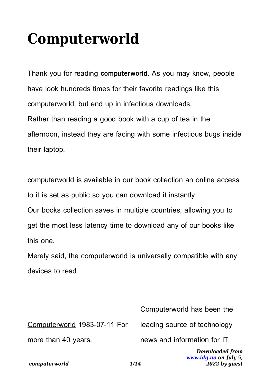## **Computerworld**

Thank you for reading **computerworld**. As you may know, people have look hundreds times for their favorite readings like this computerworld, but end up in infectious downloads. Rather than reading a good book with a cup of tea in the afternoon, instead they are facing with some infectious bugs inside

their laptop.

computerworld is available in our book collection an online access to it is set as public so you can download it instantly.

Our books collection saves in multiple countries, allowing you to get the most less latency time to download any of our books like this one.

Merely said, the computerworld is universally compatible with any devices to read

| computerworld                | <b>Downloaded from</b><br>www.idg.no on July 5,<br>2022 by quest<br>1/14 |
|------------------------------|--------------------------------------------------------------------------|
| more than 40 years,          | news and information for IT                                              |
| Computerworld 1983-07-11 For | leading source of technology                                             |
|                              | Computerworld has been the                                               |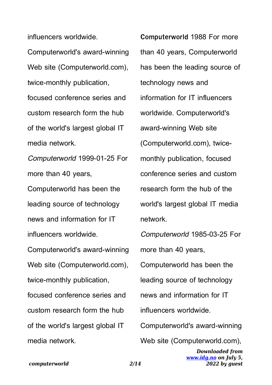influencers worldwide.

Computerworld's award-winning Web site (Computerworld.com). twice-monthly publication, focused conference series and custom research form the hub of the world's largest global IT media network.

Computerworld 1999-01-25 For more than 40 years, Computerworld has been the leading source of technology news and information for IT influencers worldwide.

Computerworld's award-winning Web site (Computerworld.com), twice-monthly publication, focused conference series and custom research form the hub of the world's largest global IT media network.

**Computerworld** 1988 For more than 40 years, Computerworld has been the leading source of technology news and information for IT influencers worldwide. Computerworld's award-winning Web site (Computerworld.com), twicemonthly publication, focused conference series and custom research form the hub of the world's largest global IT media network.

*Downloaded from* Computerworld 1985-03-25 For more than 40 years, Computerworld has been the leading source of technology news and information for IT influencers worldwide. Computerworld's award-winning Web site (Computerworld.com),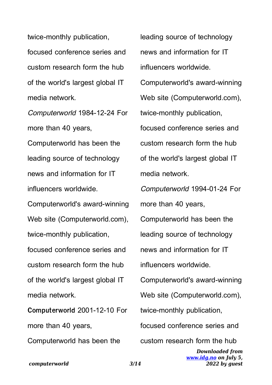twice-monthly publication, focused conference series and custom research form the hub of the world's largest global IT media network.

Computerworld 1984-12-24 For more than 40 years, Computerworld has been the leading source of technology news and information for IT influencers worldwide. Computerworld's award-winning Web site (Computerworld.com), twice-monthly publication, focused conference series and custom research form the hub of the world's largest global IT media network.

**Computerworld** 2001-12-10 For more than 40 years, Computerworld has been the

*Downloaded from* leading source of technology news and information for IT influencers worldwide. Computerworld's award-winning Web site (Computerworld.com), twice-monthly publication, focused conference series and custom research form the hub of the world's largest global IT media network. Computerworld 1994-01-24 For more than 40 years, Computerworld has been the leading source of technology news and information for IT influencers worldwide. Computerworld's award-winning Web site (Computerworld.com), twice-monthly publication, focused conference series and custom research form the hub

> *[www.idg.no](http://www.idg.no) on July 5, 2022 by guest*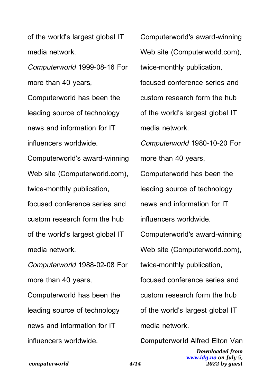of the world's largest global IT media network.

Computerworld 1999-08-16 For more than 40 years, Computerworld has been the

leading source of technology news and information for IT influencers worldwide.

Computerworld's award-winning Web site (Computerworld.com), twice-monthly publication, focused conference series and custom research form the hub of the world's largest global IT media network.

Computerworld 1988-02-08 For more than 40 years, Computerworld has been the leading source of technology news and information for IT influencers worldwide.

Computerworld's award-winning Web site (Computerworld.com), twice-monthly publication, focused conference series and custom research form the hub of the world's largest global IT media network. Computerworld 1980-10-20 For more than 40 years, Computerworld has been the leading source of technology news and information for IT influencers worldwide. Computerworld's award-winning Web site (Computerworld.com), twice-monthly publication, focused conference series and custom research form the hub of the world's largest global IT media network.

*Downloaded from [www.idg.no](http://www.idg.no) on July 5,* **Computerworld** Alfred Elton Van

*2022 by guest*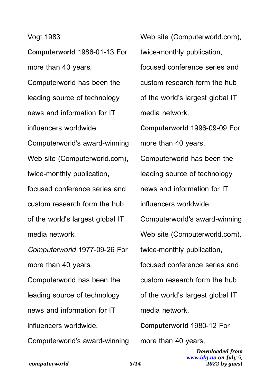## Vogt 1983

**Computerworld** 1986-01-13 For more than 40 years, Computerworld has been the leading source of technology news and information for IT influencers worldwide.

Computerworld's award-winning Web site (Computerworld.com), twice-monthly publication, focused conference series and custom research form the hub of the world's largest global IT media network.

Computerworld 1977-09-26 For more than 40 years, Computerworld has been the leading source of technology news and information for IT influencers worldwide. Computerworld's award-winning Web site (Computerworld.com), twice-monthly publication, focused conference series and custom research form the hub of the world's largest global IT media network. **Computerworld** 1996-09-09 For more than 40 years, Computerworld has been the leading source of technology news and information for IT influencers worldwide. Computerworld's award-winning Web site (Computerworld.com), twice-monthly publication, focused conference series and

custom research form the hub of the world's largest global IT media network.

**Computerworld** 1980-12 For more than 40 years,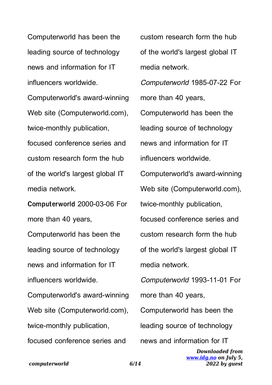Computerworld has been the leading source of technology news and information for IT influencers worldwide.

Computerworld's award-winning Web site (Computerworld.com), twice-monthly publication, focused conference series and custom research form the hub of the world's largest global IT media network.

**Computerworld** 2000-03-06 For more than 40 years,

Computerworld has been the leading source of technology news and information for IT influencers worldwide.

Computerworld's award-winning Web site (Computerworld.com), twice-monthly publication, focused conference series and

custom research form the hub of the world's largest global IT media network. Computerworld 1985-07-22 For more than 40 years, Computerworld has been the leading source of technology news and information for IT influencers worldwide. Computerworld's award-winning Web site (Computerworld.com), twice-monthly publication, focused conference series and custom research form the hub of the world's largest global IT media network. Computerworld 1993-11-01 For more than 40 years, Computerworld has been the leading source of technology news and information for IT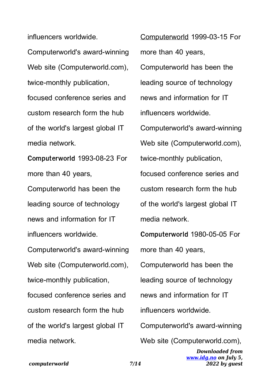influencers worldwide.

Computerworld's award-winning Web site (Computerworld.com). twice-monthly publication, focused conference series and custom research form the hub of the world's largest global IT media network.

**Computerworld** 1993-08-23 For more than 40 years, Computerworld has been the leading source of technology news and information for IT influencers worldwide.

Computerworld's award-winning Web site (Computerworld.com), twice-monthly publication, focused conference series and custom research form the hub of the world's largest global IT media network.

Computerworld 1999-03-15 For more than 40 years, Computerworld has been the leading source of technology news and information for IT influencers worldwide. Computerworld's award-winning Web site (Computerworld.com), twice-monthly publication, focused conference series and custom research form the hub of the world's largest global IT media network.

**Computerworld** 1980-05-05 For more than 40 years, Computerworld has been the leading source of technology news and information for IT influencers worldwide. Computerworld's award-winning Web site (Computerworld.com),

> *Downloaded from [www.idg.no](http://www.idg.no) on July 5, 2022 by guest*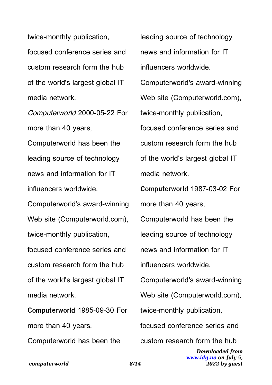twice-monthly publication, focused conference series and custom research form the hub of the world's largest global IT media network.

Computerworld 2000-05-22 For more than 40 years, Computerworld has been the leading source of technology news and information for IT influencers worldwide. Computerworld's award-winning Web site (Computerworld.com), twice-monthly publication, focused conference series and custom research form the hub of the world's largest global IT media network. **Computerworld** 1985-09-30 For

more than 40 years, Computerworld has been the leading source of technology news and information for IT influencers worldwide. Computerworld's award-winning Web site (Computerworld.com), twice-monthly publication, focused conference series and custom research form the hub of the world's largest global IT media network. **Computerworld** 1987-03-02 For more than 40 years, Computerworld has been the

leading source of technology

news and information for IT

influencers worldwide.

Computerworld's award-winning

Web site (Computerworld.com),

twice-monthly publication,

focused conference series and

custom research form the hub

*Downloaded from [www.idg.no](http://www.idg.no) on July 5, 2022 by guest*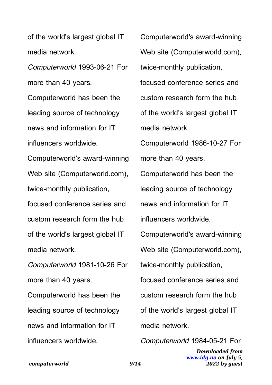of the world's largest global IT media network.

Computerworld 1993-06-21 For more than 40 years, Computerworld has been the

leading source of technology news and information for IT influencers worldwide.

Computerworld's award-winning Web site (Computerworld.com), twice-monthly publication, focused conference series and custom research form the hub of the world's largest global IT media network.

Computerworld 1981-10-26 For more than 40 years, Computerworld has been the leading source of technology news and information for IT influencers worldwide.

Computerworld's award-winning Web site (Computerworld.com), twice-monthly publication, focused conference series and custom research form the hub of the world's largest global IT media network. Computerworld 1986-10-27 For more than 40 years, Computerworld has been the leading source of technology news and information for IT influencers worldwide. Computerworld's award-winning Web site (Computerworld.com), twice-monthly publication, focused conference series and custom research form the hub of the world's largest global IT media network.

Computerworld 1984-05-21 For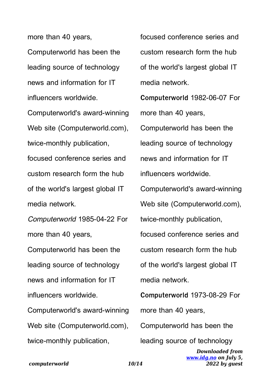more than 40 years, Computerworld has been the leading source of technology news and information for IT influencers worldwide.

Computerworld's award-winning Web site (Computerworld.com), twice-monthly publication, focused conference series and custom research form the hub of the world's largest global IT media network.

Computerworld 1985-04-22 For more than 40 years, Computerworld has been the

leading source of technology news and information for IT influencers worldwide.

Computerworld's award-winning Web site (Computerworld.com). twice-monthly publication,

focused conference series and custom research form the hub of the world's largest global IT media network.

**Computerworld** 1982-06-07 For more than 40 years, Computerworld has been the leading source of technology news and information for IT

influencers worldwide.

Computerworld's award-winning

Web site (Computerworld.com),

twice-monthly publication,

focused conference series and custom research form the hub of the world's largest global IT media network.

**Computerworld** 1973-08-29 For more than 40 years,

Computerworld has been the

leading source of technology

*Downloaded from [www.idg.no](http://www.idg.no) on July 5, 2022 by guest*

*computerworld 10/14*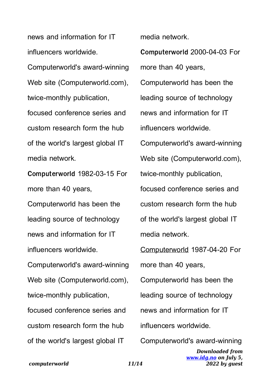news and information for IT influencers worldwide. Computerworld's award-winning Web site (Computerworld.com), twice-monthly publication, focused conference series and custom research form the hub of the world's largest global IT media network. **Computerworld** 1982-03-15 For more than 40 years, Computerworld has been the leading source of technology news and information for IT

influencers worldwide. Computerworld's award-winning Web site (Computerworld.com), twice-monthly publication, focused conference series and custom research form the hub of the world's largest global IT

media network.

**Computerworld** 2000-04-03 For more than 40 years, Computerworld has been the leading source of technology news and information for IT influencers worldwide. Computerworld's award-winning Web site (Computerworld.com), twice-monthly publication, focused conference series and custom research form the hub of the world's largest global IT media network. Computerworld 1987-04-20 For more than 40 years, Computerworld has been the leading source of technology news and information for IT influencers worldwide. Computerworld's award-winning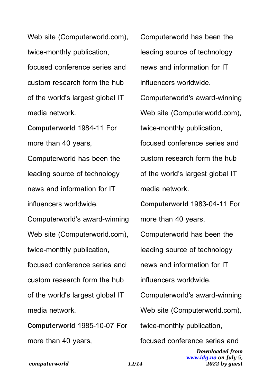Web site (Computerworld.com), twice-monthly publication, focused conference series and custom research form the hub of the world's largest global IT media network.

**Computerworld** 1984-11 For more than 40 years, Computerworld has been the leading source of technology news and information for IT

influencers worldwide.

Computerworld's award-winning Web site (Computerworld.com), twice-monthly publication, focused conference series and custom research form the hub of the world's largest global IT media network.

**Computerworld** 1985-10-07 For more than 40 years,

Computerworld has been the leading source of technology news and information for IT influencers worldwide. Computerworld's award-winning Web site (Computerworld.com), twice-monthly publication, focused conference series and custom research form the hub of the world's largest global IT media network. **Computerworld** 1983-04-11 For more than 40 years, Computerworld has been the leading source of technology news and information for IT influencers worldwide. Computerworld's award-winning Web site (Computerworld.com), twice-monthly publication, focused conference series and

> *Downloaded from [www.idg.no](http://www.idg.no) on July 5, 2022 by guest*